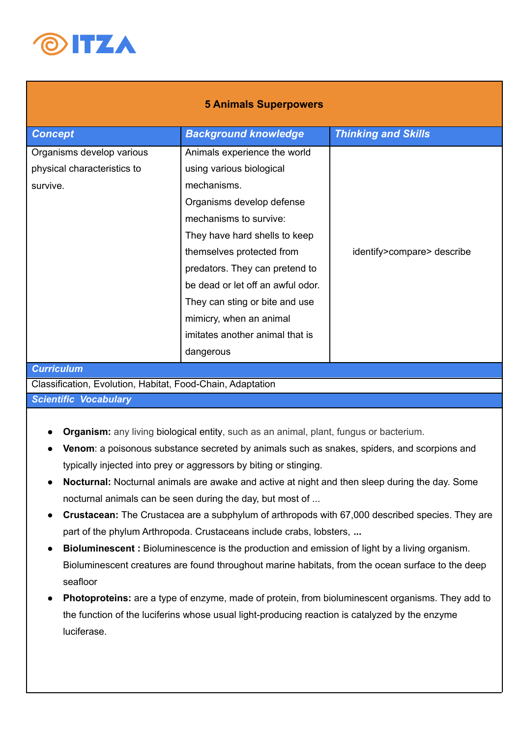

## **5 Animals Superpowers**

| <b>Concept</b>              | <b>Background knowledge</b>       | <b>Thinking and Skills</b> |
|-----------------------------|-----------------------------------|----------------------------|
| Organisms develop various   | Animals experience the world      |                            |
| physical characteristics to | using various biological          |                            |
| survive.                    | mechanisms.                       |                            |
|                             | Organisms develop defense         |                            |
|                             | mechanisms to survive:            |                            |
|                             | They have hard shells to keep     |                            |
|                             | themselves protected from         | identify>compare> describe |
|                             | predators. They can pretend to    |                            |
|                             | be dead or let off an awful odor. |                            |
|                             | They can sting or bite and use    |                            |
|                             | mimicry, when an animal           |                            |
|                             | imitates another animal that is   |                            |
|                             | dangerous                         |                            |
| <b>Curriculum</b>           |                                   |                            |

Classification, Evolution, Habitat, Food-Chain, Adaptation

*Scientific Vocabulary*

- **● Organism:** any living biological entity, such as an animal, plant, fungus or bacterium.
- **Venom**: a poisonous substance secreted by animals such as snakes, spiders, and scorpions and typically injected into prey or aggressors by biting or stinging.
- **Nocturnal:** Nocturnal animals are awake and active at night and then sleep during the day. Some nocturnal animals can be seen during the day, but most of ...
- **Crustacean:** The Crustacea are a subphylum of arthropods with 67,000 described species. They are part of the phylum Arthropoda. Crustaceans include crabs, lobsters, **...**
- **Bioluminescent** : Bioluminescence is the production and emission of light by a living organism. Bioluminescent creatures are found throughout marine habitats, from the ocean surface to the deep seafloor
- **Photoproteins:** are a type of enzyme, made of protein, from bioluminescent organisms. They add to the function of the luciferins whose usual light-producing reaction is catalyzed by the enzyme luciferase.